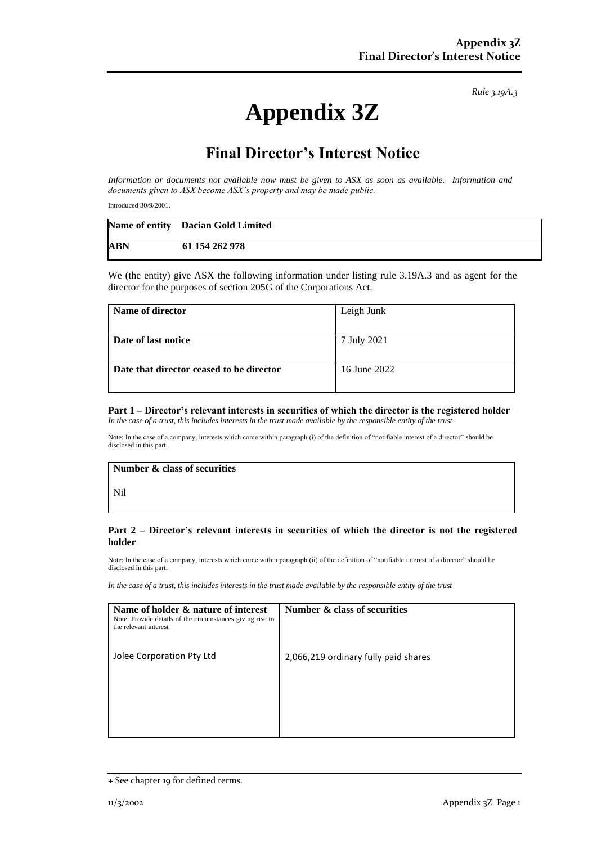*Rule 3.19A.3*

# **Appendix 3Z**

## **Final Director's Interest Notice**

*Information or documents not available now must be given to ASX as soon as available. Information and documents given to ASX become ASX's property and may be made public.*

Introduced 30/9/2001.

|            | Name of entity Dacian Gold Limited |
|------------|------------------------------------|
| <b>ABN</b> | 61 154 262 978                     |

We (the entity) give ASX the following information under listing rule 3.19A.3 and as agent for the director for the purposes of section 205G of the Corporations Act.

| Name of director                         | Leigh Junk   |
|------------------------------------------|--------------|
|                                          |              |
| Date of last notice                      | 7 July 2021  |
|                                          |              |
| Date that director ceased to be director | 16 June 2022 |
|                                          |              |

#### **Part 1 – Director's relevant interests in securities of which the director is the registered holder** *In the case of a trust, this includes interests in the trust made available by the responsible entity of the trust*

Note: In the case of a company, interests which come within paragraph (i) of the definition of "notifiable interest of a director" should be disclosed in this part.

#### **Number & class of securities**

Nil

#### **Part 2 – Director's relevant interests in securities of which the director is not the registered holder**

Note: In the case of a company, interests which come within paragraph (ii) of the definition of "notifiable interest of a director" should be disclosed in this part.

*In the case of a trust, this includes interests in the trust made available by the responsible entity of the trust*

| Name of holder & nature of interest<br>Note: Provide details of the circumstances giving rise to<br>the relevant interest | Number & class of securities         |
|---------------------------------------------------------------------------------------------------------------------------|--------------------------------------|
| Jolee Corporation Pty Ltd                                                                                                 | 2,066,219 ordinary fully paid shares |
|                                                                                                                           |                                      |

<sup>+</sup> See chapter 19 for defined terms.